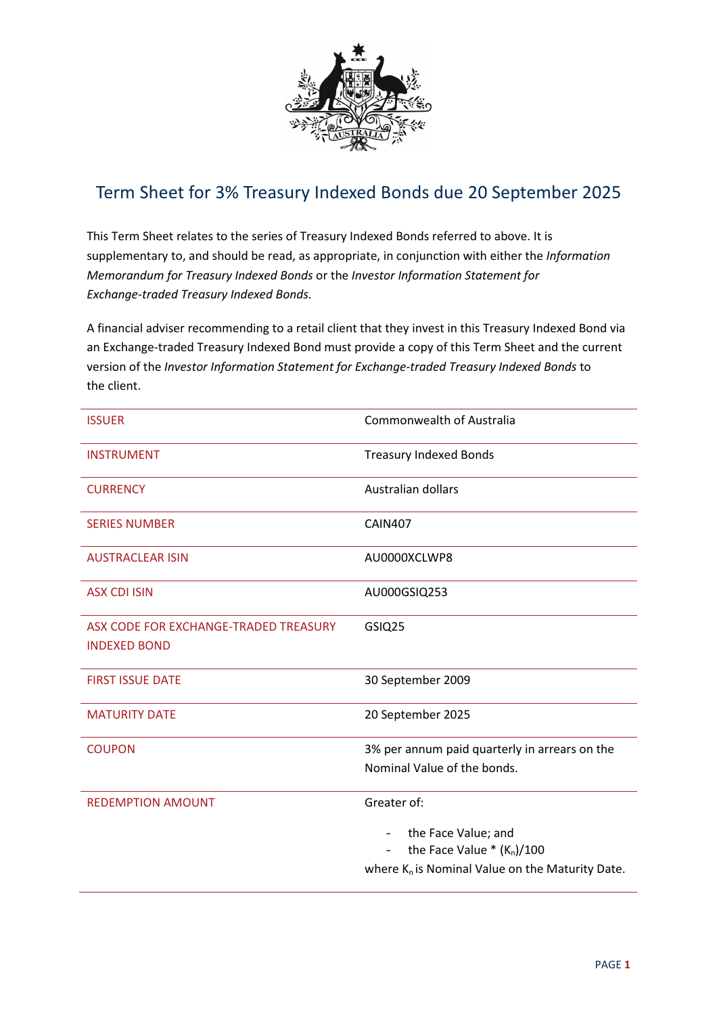

## Term Sheet for 3% Treasury Indexed Bonds due 20 September 2025

This Term Sheet relates to the series of Treasury Indexed Bonds referred to above. It is supplementary to, and should be read, as appropriate, in conjunction with either the Information Memorandum for Treasury Indexed Bonds or the Investor Information Statement for Exchange-traded Treasury Indexed Bonds.

A financial adviser recommending to a retail client that they invest in this Treasury Indexed Bond via an Exchange-traded Treasury Indexed Bond must provide a copy of this Term Sheet and the current version of the Investor Information Statement for Exchange-traded Treasury Indexed Bonds to the client.

| <b>ISSUER</b>                                                | <b>Commonwealth of Australia</b>                                             |
|--------------------------------------------------------------|------------------------------------------------------------------------------|
| <b>INSTRUMENT</b>                                            | <b>Treasury Indexed Bonds</b>                                                |
| <b>CURRENCY</b>                                              | Australian dollars                                                           |
| <b>SERIES NUMBER</b>                                         | <b>CAIN407</b>                                                               |
| <b>AUSTRACLEAR ISIN</b>                                      | AU0000XCLWP8                                                                 |
| <b>ASX CDI ISIN</b>                                          | AU000GSIQ253                                                                 |
| ASX CODE FOR EXCHANGE-TRADED TREASURY<br><b>INDEXED BOND</b> | GSIQ25                                                                       |
| <b>FIRST ISSUE DATE</b>                                      | 30 September 2009                                                            |
| <b>MATURITY DATE</b>                                         | 20 September 2025                                                            |
| <b>COUPON</b>                                                | 3% per annum paid quarterly in arrears on the<br>Nominal Value of the bonds. |
| <b>REDEMPTION AMOUNT</b>                                     | Greater of:                                                                  |
|                                                              | the Face Value; and<br>$\sim$<br>the Face Value $*(K_n)/100$<br>$\sim$       |
|                                                              | where $K_n$ is Nominal Value on the Maturity Date.                           |